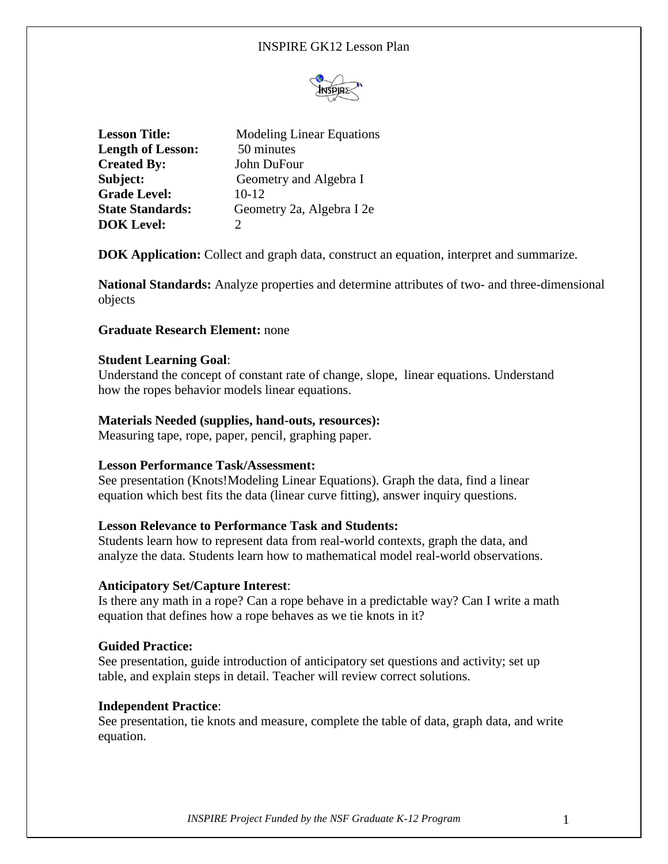# INSPIRE GK12 Lesson Plan



| <b>Lesson Title:</b>     | <b>Modeling Linear Equations</b> |
|--------------------------|----------------------------------|
| <b>Length of Lesson:</b> | 50 minutes                       |
| <b>Created By:</b>       | John DuFour                      |
| Subject:                 | Geometry and Algebra I           |
| <b>Grade Level:</b>      | $10-12$                          |
| <b>State Standards:</b>  | Geometry 2a, Algebra I 2e        |
| <b>DOK Level:</b>        |                                  |

**DOK Application:** Collect and graph data, construct an equation, interpret and summarize.

**National Standards:** Analyze properties and determine attributes of two- and three-dimensional objects

## **Graduate Research Element:** none

## **Student Learning Goal**:

Understand the concept of constant rate of change, slope, linear equations. Understand how the ropes behavior models linear equations.

## **Materials Needed (supplies, hand-outs, resources):**

Measuring tape, rope, paper, pencil, graphing paper.

## **Lesson Performance Task/Assessment:**

See presentation (Knots!Modeling Linear Equations). Graph the data, find a linear equation which best fits the data (linear curve fitting), answer inquiry questions.

#### **Lesson Relevance to Performance Task and Students:**

Students learn how to represent data from real-world contexts, graph the data, and analyze the data. Students learn how to mathematical model real-world observations.

#### **Anticipatory Set/Capture Interest**:

Is there any math in a rope? Can a rope behave in a predictable way? Can I write a math equation that defines how a rope behaves as we tie knots in it?

#### **Guided Practice:**

See presentation, guide introduction of anticipatory set questions and activity; set up table, and explain steps in detail. Teacher will review correct solutions.

#### **Independent Practice**:

See presentation, tie knots and measure, complete the table of data, graph data, and write equation.